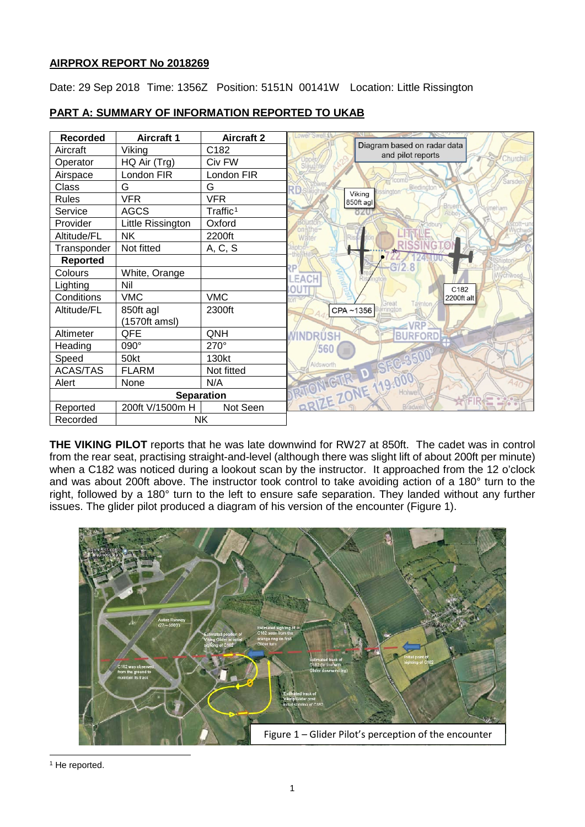# **AIRPROX REPORT No 2018269**

Date: 29 Sep 2018 Time: 1356Z Position: 5151N 00141W Location: Little Rissington

| <b>Recorded</b>   | <b>Aircraft 1</b> | <b>Aircraft 2</b>    | ower Swell 1                                     |
|-------------------|-------------------|----------------------|--------------------------------------------------|
| Aircraft          | Viking            | C182                 | Diagram based on radar data<br>and pilot reports |
| Operator          | HQ Air (Trg)      | Civ FW               | Churchill                                        |
| Airspace          | London FIR        | London FIR           |                                                  |
| Class             | G                 | G                    | Sarsde<br>Bledington<br>sington                  |
| <b>Rules</b>      | <b>VFR</b>        | <b>VFR</b>           | Viking<br>850ft agl<br>Bruer                     |
| Service           | <b>AGCS</b>       | Traffic <sup>1</sup> | meham<br>820                                     |
| Provider          | Little Rissington | Oxford               |                                                  |
| Altitude/FL       | <b>NK</b>         | 2200ft               | Water                                            |
| Transponder       | Not fitted        | A, C, S              |                                                  |
| <b>Reported</b>   |                   |                      |                                                  |
| Colours           | White, Orange     |                      | EAC                                              |
| Lighting          | Nil               |                      | C182                                             |
| Conditions        | <b>VMC</b>        | <b>VMC</b>           | 2200ft alt                                       |
| Altitude/FL       | 850ft agl         | 2300ft               | laynton<br>sreat<br>CPA~1356<br>rington          |
|                   | (1570ft amsl)     |                      |                                                  |
| Altimeter         | QFE               | QNH                  | MINDRUSH<br><b>BURFORD</b>                       |
| Heading           | 090°              | 270°                 | 560                                              |
| Speed             | 50kt              | 130kt                | SEC-35<br>Aldsworth                              |
| <b>ACAS/TAS</b>   | <b>FLARM</b>      | Not fitted           | $\mathbf{D}$ of                                  |
| Alert             | None              | N/A                  |                                                  |
| <b>Separation</b> |                   |                      | BRIZE ZONE 119.<br>Holwe<br>EDS                  |
| Reported          | 200ft V/1500m H   | Not Seen             | Bradwe                                           |
| Recorded          | NΚ.               |                      |                                                  |

# **PART A: SUMMARY OF INFORMATION REPORTED TO UKAB**

**THE VIKING PILOT** reports that he was late downwind for RW27 at 850ft. The cadet was in control from the rear seat, practising straight-and-level (although there was slight lift of about 200ft per minute) when a C182 was noticed during a lookout scan by the instructor. It approached from the 12 o'clock and was about 200ft above. The instructor took control to take avoiding action of a 180° turn to the right, followed by a 180° turn to the left to ensure safe separation. They landed without any further issues. The glider pilot produced a diagram of his version of the encounter (Figure 1).



<span id="page-0-0"></span> $\overline{\phantom{a}}$ <sup>1</sup> He reported.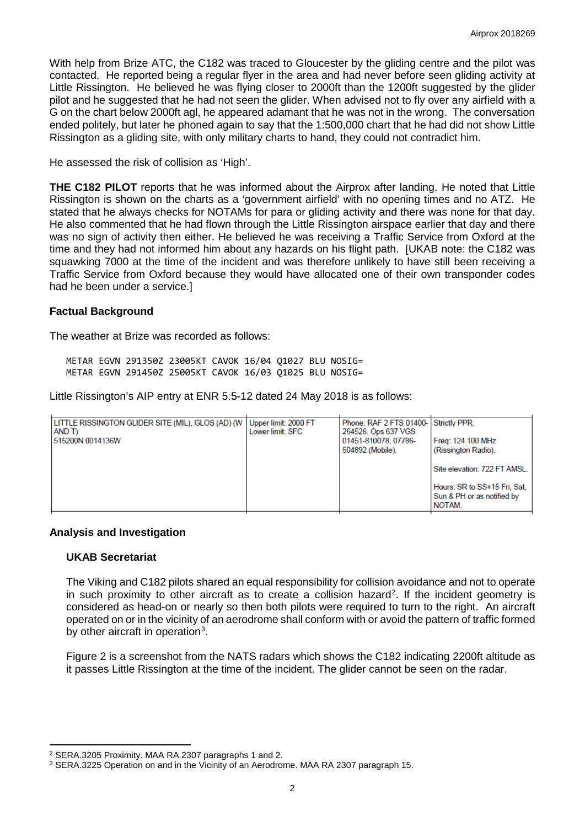With help from Brize ATC, the C182 was traced to Gloucester by the gliding centre and the pilot was contacted. He reported being a regular flyer in the area and had never before seen gliding activity at Little Rissington. He believed he was flying closer to 2000ft than the 1200ft suggested by the glider pilot and he suggested that he had not seen the glider. When advised not to fly over any airfield with a G on the chart below 2000ft agl, he appeared adamant that he was not in the wrong. The conversation ended politely, but later he phoned again to say that the 1:500,000 chart that he had did not show Little Rissington as a gliding site, with only military charts to hand, they could not contradict him.

He assessed the risk of collision as 'High'.

**THE C182 PILOT** reports that he was informed about the Airprox after landing. He noted that Little Rissington is shown on the charts as a 'government airfield' with no opening times and no ATZ. He stated that he always checks for NOTAMs for para or gliding activity and there was none for that day. He also commented that he had flown through the Little Rissington airspace earlier that day and there was no sign of activity then either. He believed he was receiving a Traffic Service from Oxford at the time and they had not informed him about any hazards on his flight path. [UKAB note: the C182 was squawking 7000 at the time of the incident and was therefore unlikely to have still been receiving a Traffic Service from Oxford because they would have allocated one of their own transponder codes had he been under a service.]

#### **Factual Background**

The weather at Brize was recorded as follows:

METAR EGVN 291350Z 23005KT CAVOK 16/04 Q1027 BLU NOSIG= METAR EGVN 291450Z 25005KT CAVOK 16/03 Q1025 BLU NOSIG=

Little Rissington's AIP entry at ENR 5.5-12 dated 24 May 2018 is as follows:

| LITTLE RISSINGTON GLIDER SITE (MIL), GLOS (AD) (W<br>AND T)<br>515200N 0014136W | Upper limit: 2000 FT<br>Lower limit: SFC | Phone: RAF 2 FTS 01400- Strictly PPR.<br>264526. Ops 637 VGS<br>01451-810078, 07786-<br>504892 (Mobile). | Freg: 124.100 MHz<br>(Rissington Radio).<br>Site elevation: 722 FT AMSL.<br>Hours: SR to SS+15 Fri, Sat,<br>Sun & PH or as notified by |
|---------------------------------------------------------------------------------|------------------------------------------|----------------------------------------------------------------------------------------------------------|----------------------------------------------------------------------------------------------------------------------------------------|
|                                                                                 |                                          |                                                                                                          | NOTAM.                                                                                                                                 |

#### **Analysis and Investigation**

#### **UKAB Secretariat**

l

The Viking and C182 pilots shared an equal responsibility for collision avoidance and not to operate in such proximity to other aircraft as to create a collision hazard<sup>[2](#page-1-0)</sup>. If the incident geometry is considered as head-on or nearly so then both pilots were required to turn to the right. An aircraft operated on or in the vicinity of an aerodrome shall conform with or avoid the pattern of traffic formed by other aircraft in operation<sup>[3](#page-1-1)</sup>.

Figure 2 is a screenshot from the NATS radars which shows the C182 indicating 2200ft altitude as it passes Little Rissington at the time of the incident. The glider cannot be seen on the radar.

<span id="page-1-0"></span><sup>2</sup> SERA.3205 Proximity. MAA RA 2307 paragraphs 1 and 2.

<span id="page-1-1"></span><sup>3</sup> SERA.3225 Operation on and in the Vicinity of an Aerodrome. MAA RA 2307 paragraph 15.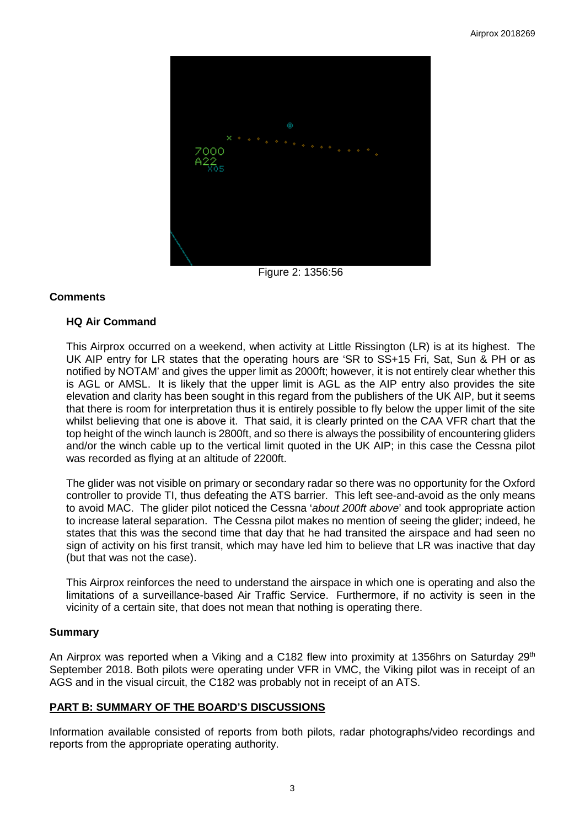

Figure 2: 1356:56

### **Comments**

### **HQ Air Command**

This Airprox occurred on a weekend, when activity at Little Rissington (LR) is at its highest. The UK AIP entry for LR states that the operating hours are 'SR to SS+15 Fri, Sat, Sun & PH or as notified by NOTAM' and gives the upper limit as 2000ft; however, it is not entirely clear whether this is AGL or AMSL. It is likely that the upper limit is AGL as the AIP entry also provides the site elevation and clarity has been sought in this regard from the publishers of the UK AIP, but it seems that there is room for interpretation thus it is entirely possible to fly below the upper limit of the site whilst believing that one is above it. That said, it is clearly printed on the CAA VFR chart that the top height of the winch launch is 2800ft, and so there is always the possibility of encountering gliders and/or the winch cable up to the vertical limit quoted in the UK AIP; in this case the Cessna pilot was recorded as flying at an altitude of 2200ft.

The glider was not visible on primary or secondary radar so there was no opportunity for the Oxford controller to provide TI, thus defeating the ATS barrier. This left see-and-avoid as the only means to avoid MAC. The glider pilot noticed the Cessna '*about 200ft above*' and took appropriate action to increase lateral separation. The Cessna pilot makes no mention of seeing the glider; indeed, he states that this was the second time that day that he had transited the airspace and had seen no sign of activity on his first transit, which may have led him to believe that LR was inactive that day (but that was not the case).

This Airprox reinforces the need to understand the airspace in which one is operating and also the limitations of a surveillance-based Air Traffic Service. Furthermore, if no activity is seen in the vicinity of a certain site, that does not mean that nothing is operating there.

# **Summary**

An Airprox was reported when a Viking and a C182 flew into proximity at 1356hrs on Saturday 29<sup>th</sup> September 2018. Both pilots were operating under VFR in VMC, the Viking pilot was in receipt of an AGS and in the visual circuit, the C182 was probably not in receipt of an ATS.

# **PART B: SUMMARY OF THE BOARD'S DISCUSSIONS**

Information available consisted of reports from both pilots, radar photographs/video recordings and reports from the appropriate operating authority.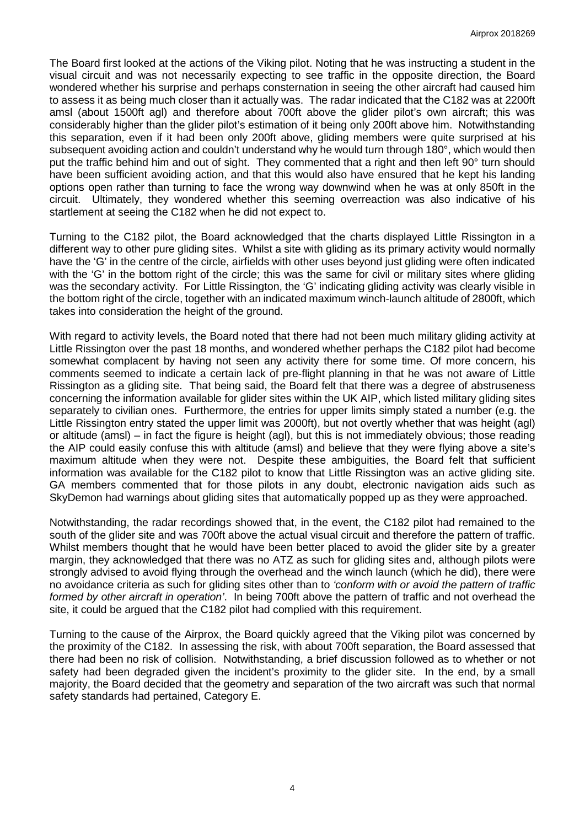The Board first looked at the actions of the Viking pilot. Noting that he was instructing a student in the visual circuit and was not necessarily expecting to see traffic in the opposite direction, the Board wondered whether his surprise and perhaps consternation in seeing the other aircraft had caused him to assess it as being much closer than it actually was. The radar indicated that the C182 was at 2200ft amsl (about 1500ft agl) and therefore about 700ft above the glider pilot's own aircraft; this was considerably higher than the glider pilot's estimation of it being only 200ft above him. Notwithstanding this separation, even if it had been only 200ft above, gliding members were quite surprised at his subsequent avoiding action and couldn't understand why he would turn through 180°, which would then put the traffic behind him and out of sight. They commented that a right and then left 90° turn should have been sufficient avoiding action, and that this would also have ensured that he kept his landing options open rather than turning to face the wrong way downwind when he was at only 850ft in the circuit. Ultimately, they wondered whether this seeming overreaction was also indicative of his startlement at seeing the C182 when he did not expect to.

Turning to the C182 pilot, the Board acknowledged that the charts displayed Little Rissington in a different way to other pure gliding sites. Whilst a site with gliding as its primary activity would normally have the 'G' in the centre of the circle, airfields with other uses beyond just gliding were often indicated with the 'G' in the bottom right of the circle; this was the same for civil or military sites where gliding was the secondary activity. For Little Rissington, the 'G' indicating gliding activity was clearly visible in the bottom right of the circle, together with an indicated maximum winch-launch altitude of 2800ft, which takes into consideration the height of the ground.

With regard to activity levels, the Board noted that there had not been much military gliding activity at Little Rissington over the past 18 months, and wondered whether perhaps the C182 pilot had become somewhat complacent by having not seen any activity there for some time. Of more concern, his comments seemed to indicate a certain lack of pre-flight planning in that he was not aware of Little Rissington as a gliding site. That being said, the Board felt that there was a degree of abstruseness concerning the information available for glider sites within the UK AIP, which listed military gliding sites separately to civilian ones. Furthermore, the entries for upper limits simply stated a number (e.g. the Little Rissington entry stated the upper limit was 2000ft), but not overtly whether that was height (agl) or altitude (amsl) – in fact the figure is height (agl), but this is not immediately obvious; those reading the AIP could easily confuse this with altitude (amsl) and believe that they were flying above a site's maximum altitude when they were not. Despite these ambiguities, the Board felt that sufficient information was available for the C182 pilot to know that Little Rissington was an active gliding site. GA members commented that for those pilots in any doubt, electronic navigation aids such as SkyDemon had warnings about gliding sites that automatically popped up as they were approached.

Notwithstanding, the radar recordings showed that, in the event, the C182 pilot had remained to the south of the glider site and was 700ft above the actual visual circuit and therefore the pattern of traffic. Whilst members thought that he would have been better placed to avoid the glider site by a greater margin, they acknowledged that there was no ATZ as such for gliding sites and, although pilots were strongly advised to avoid flying through the overhead and the winch launch (which he did), there were no avoidance criteria as such for gliding sites other than to *'conform with or avoid the pattern of traffic formed by other aircraft in operation'*. In being 700ft above the pattern of traffic and not overhead the site, it could be argued that the C182 pilot had complied with this requirement.

Turning to the cause of the Airprox, the Board quickly agreed that the Viking pilot was concerned by the proximity of the C182. In assessing the risk, with about 700ft separation, the Board assessed that there had been no risk of collision. Notwithstanding, a brief discussion followed as to whether or not safety had been degraded given the incident's proximity to the glider site. In the end, by a small majority, the Board decided that the geometry and separation of the two aircraft was such that normal safety standards had pertained, Category E.